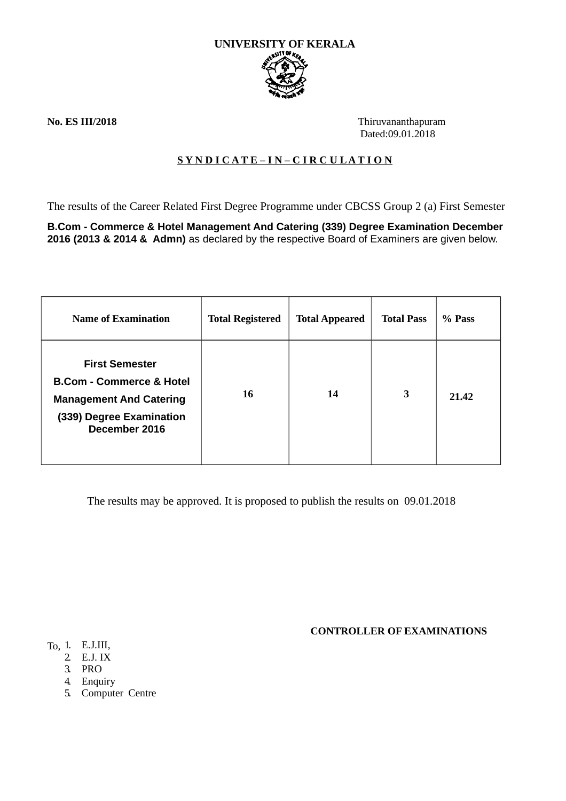

**No. ES III/2018** Thiruvananthapuram Dated:09.01.2018

## **S Y N D I C A T E – I N – C I R C U L A T I O N**

The results of the Career Related First Degree Programme under CBCSS Group 2 (a) First Semester

**B.Com - Commerce & Hotel Management And Catering (339) Degree Examination December 2016 (2013 & 2014 & Admn)** as declared by the respective Board of Examiners are given below.

| <b>Name of Examination</b>                                                                                                                  | <b>Total Registered</b> | <b>Total Appeared</b> | <b>Total Pass</b> | % Pass |
|---------------------------------------------------------------------------------------------------------------------------------------------|-------------------------|-----------------------|-------------------|--------|
| <b>First Semester</b><br><b>B.Com - Commerce &amp; Hotel</b><br><b>Management And Catering</b><br>(339) Degree Examination<br>December 2016 | 16                      | 14                    | 3                 | 21.42  |

The results may be approved. It is proposed to publish the results on 09.01.2018

**CONTROLLER OF EXAMINATIONS**

- To, 1. E.J.III,
	- 2. E.J. IX
	- 3. PRO
	- 4. Enquiry
	- 5. Computer Centre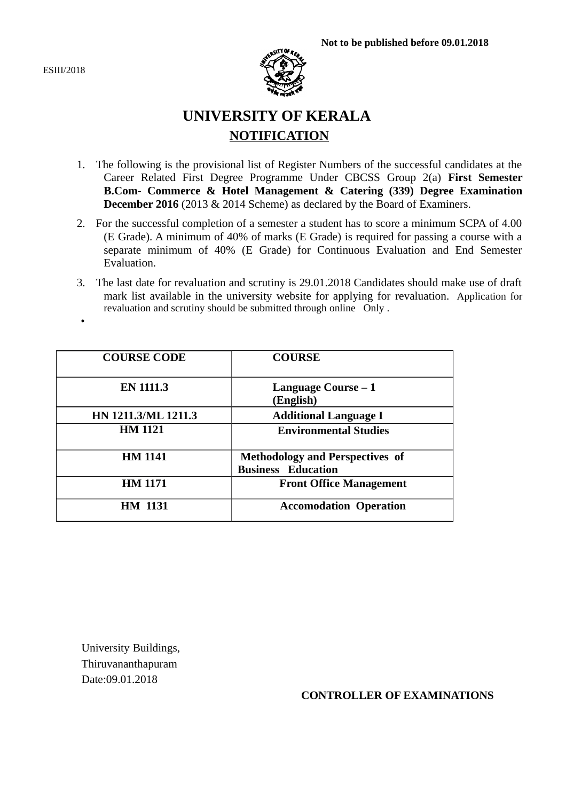ESIII/2018

•



# **UNIVERSITY OF KERALA NOTIFICATION**

- 1. The following is the provisional list of Register Numbers of the successful candidates at the Career Related First Degree Programme Under CBCSS Group 2(a) **First Semester B.Com- Commerce & Hotel Management & Catering (339) Degree Examination December 2016** (2013 & 2014 Scheme) as declared by the Board of Examiners.
- 2. For the successful completion of a semester a student has to score a minimum SCPA of 4.00 (E Grade). A minimum of 40% of marks (E Grade) is required for passing a course with a separate minimum of 40% (E Grade) for Continuous Evaluation and End Semester Evaluation.
- 3. The last date for revaluation and scrutiny is 29.01.2018 Candidates should make use of draft mark list available in the university website for applying for revaluation. Application for revaluation and scrutiny should be submitted through online Only .

| <b>COURSE CODE</b>  | <b>COURSE</b>                                                       |  |
|---------------------|---------------------------------------------------------------------|--|
| <b>EN 1111.3</b>    | Language Course – 1<br>(English)                                    |  |
| HN 1211.3/ML 1211.3 | <b>Additional Language I</b>                                        |  |
| <b>HM 1121</b>      | <b>Environmental Studies</b>                                        |  |
| <b>HM 1141</b>      | <b>Methodology and Perspectives of</b><br><b>Business Education</b> |  |
| <b>HM 1171</b>      | <b>Front Office Management</b>                                      |  |
| <b>HM 1131</b>      | <b>Accomodation Operation</b>                                       |  |

University Buildings, Thiruvananthapuram Date:09.01.2018

#### **CONTROLLER OF EXAMINATIONS**